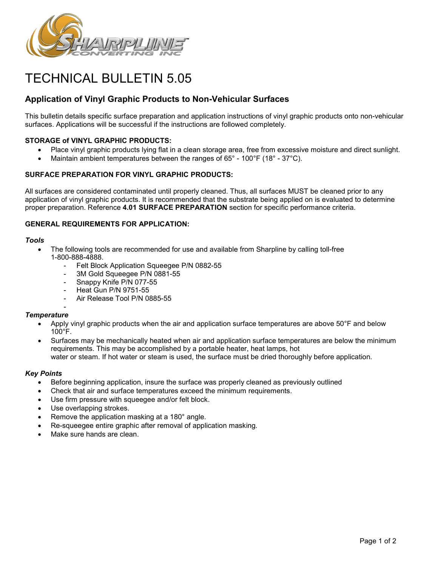

# TECHNICAL BULLETIN 5.05

## **Application of Vinyl Graphic Products to Non-Vehicular Surfaces**

This bulletin details specific surface preparation and application instructions of vinyl graphic products onto non-vehicular surfaces. Applications will be successful if the instructions are followed completely.

## **STORAGE of VINYL GRAPHIC PRODUCTS:**

- Place vinyl graphic products lying flat in a clean storage area, free from excessive moisture and direct sunlight.
- Maintain ambient temperatures between the ranges of  $65^{\circ}$  100 $^{\circ}$ F (18 $^{\circ}$  37 $^{\circ}$ C).

## **SURFACE PREPARATION FOR VINYL GRAPHIC PRODUCTS:**

All surfaces are considered contaminated until properly cleaned. Thus, all surfaces MUST be cleaned prior to any application of vinyl graphic products. It is recommended that the substrate being applied on is evaluated to determine proper preparation. Reference **4.01 SURFACE PREPARATION** section for specific performance criteria.

## **GENERAL REQUIREMENTS FOR APPLICATION:**

#### *Tools*

- The following tools are recommended for use and available from Sharpline by calling toll-free 1-800-888-4888.
	- Felt Block Application Squeegee P/N 0882-55
	- 3M Gold Squeegee P/N 0881-55
	- Snappy Knife P/N 077-55
	- Heat Gun P/N 9751-55
	- Air Release Tool P/N 0885-55

#### - *Temperature*

- Apply vinyl graphic products when the air and application surface temperatures are above 50°F and below 100°F.
- Surfaces may be mechanically heated when air and application surface temperatures are below the minimum requirements. This may be accomplished by a portable heater, heat lamps, hot water or steam. If hot water or steam is used, the surface must be dried thoroughly before application.

## *Key Points*

- Before beginning application, insure the surface was properly cleaned as previously outlined
- Check that air and surface temperatures exceed the minimum requirements.
- Use firm pressure with squeegee and/or felt block.
- Use overlapping strokes.
- Remove the application masking at a 180° angle.
- Re-squeegee entire graphic after removal of application masking.
- Make sure hands are clean.